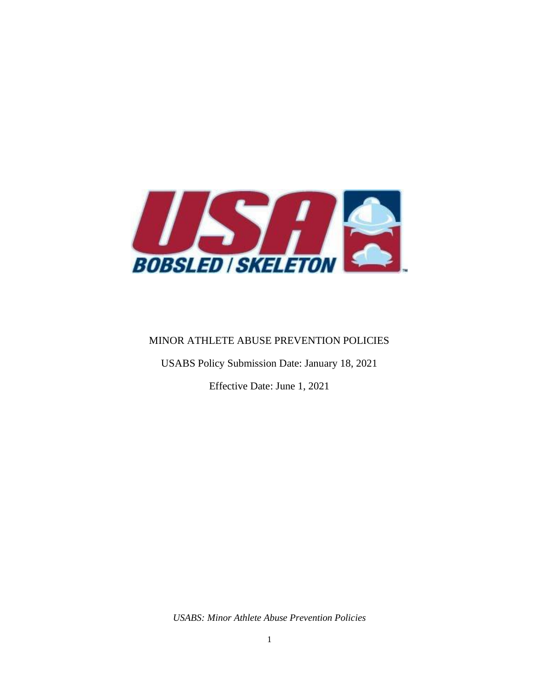

#### MINOR ATHLETE ABUSE PREVENTION POLICIES

USABS Policy Submission Date: January 18, 2021

Effective Date: June 1, 2021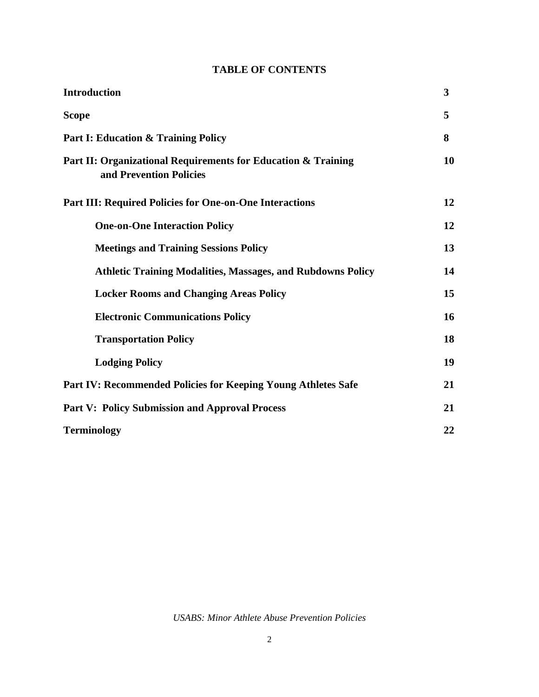### **TABLE OF CONTENTS**

| <b>Introduction</b>                                                                      | $\overline{\mathbf{3}}$ |
|------------------------------------------------------------------------------------------|-------------------------|
| <b>Scope</b>                                                                             | 5                       |
| <b>Part I: Education &amp; Training Policy</b>                                           | 8                       |
| Part II: Organizational Requirements for Education & Training<br>and Prevention Policies | 10                      |
| <b>Part III: Required Policies for One-on-One Interactions</b>                           | 12                      |
| <b>One-on-One Interaction Policy</b>                                                     | 12                      |
| <b>Meetings and Training Sessions Policy</b>                                             | 13                      |
| <b>Athletic Training Modalities, Massages, and Rubdowns Policy</b>                       | 14                      |
| <b>Locker Rooms and Changing Areas Policy</b>                                            | 15                      |
| <b>Electronic Communications Policy</b>                                                  | 16                      |
| <b>Transportation Policy</b>                                                             | 18                      |
| <b>Lodging Policy</b>                                                                    | 19                      |
| Part IV: Recommended Policies for Keeping Young Athletes Safe                            | 21                      |
| <b>Part V: Policy Submission and Approval Process</b>                                    | 21                      |
| <b>Terminology</b>                                                                       | 22                      |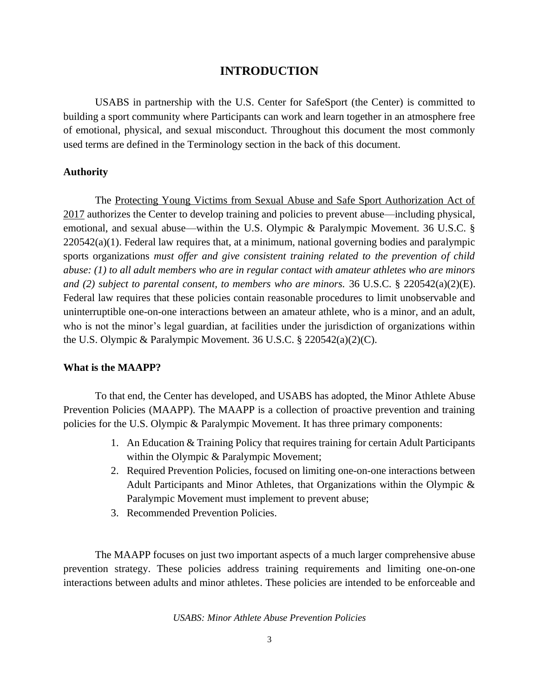### **INTRODUCTION**

USABS in partnership with the U.S. Center for SafeSport (the Center) is committed to building a sport community where Participants can work and learn together in an atmosphere free of emotional, physical, and sexual misconduct. Throughout this document the most commonly used terms are defined in the Terminology section in the back of this document.

#### **Authority**

The Protecting Young Victims from Sexual Abuse and Safe Sport Authorization Act of 2017 authorizes the Center to develop training and policies to prevent abuse—including physical, emotional, and sexual abuse—within the U.S. Olympic & Paralympic Movement. 36 U.S.C. § 220542(a)(1). Federal law requires that, at a minimum, national governing bodies and paralympic sports organizations *must offer and give consistent training related to the prevention of child abuse: (1) to all adult members who are in regular contact with amateur athletes who are minors and (2) subject to parental consent, to members who are minors.* 36 U.S.C. § 220542(a)(2)(E). Federal law requires that these policies contain reasonable procedures to limit unobservable and uninterruptible one-on-one interactions between an amateur athlete, who is a minor, and an adult, who is not the minor's legal guardian, at facilities under the jurisdiction of organizations within the U.S. Olympic & Paralympic Movement. 36 U.S.C. § 220542(a)(2)(C).

#### **What is the MAAPP?**

To that end, the Center has developed, and USABS has adopted, the Minor Athlete Abuse Prevention Policies (MAAPP). The MAAPP is a collection of proactive prevention and training policies for the U.S. Olympic & Paralympic Movement. It has three primary components:

- 1. An Education & Training Policy that requires training for certain Adult Participants within the Olympic & Paralympic Movement;
- 2. Required Prevention Policies, focused on limiting one-on-one interactions between Adult Participants and Minor Athletes, that Organizations within the Olympic & Paralympic Movement must implement to prevent abuse;
- 3. Recommended Prevention Policies.

The MAAPP focuses on just two important aspects of a much larger comprehensive abuse prevention strategy. These policies address training requirements and limiting one-on-one interactions between adults and minor athletes. These policies are intended to be enforceable and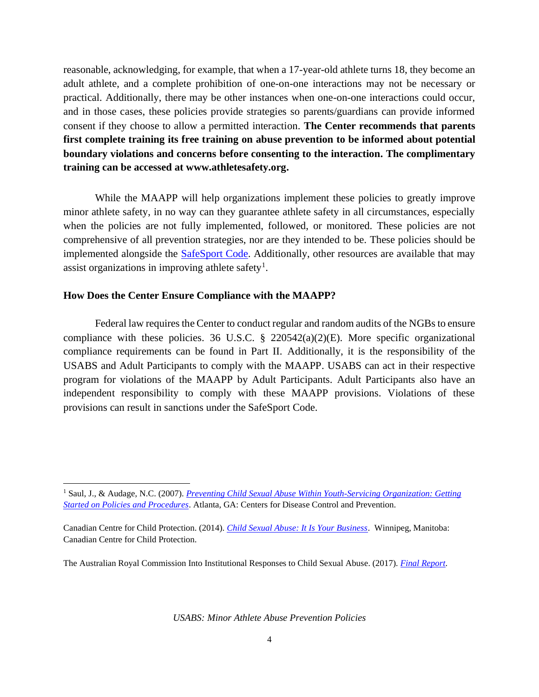reasonable, acknowledging, for example, that when a 17-year-old athlete turns 18, they become an adult athlete, and a complete prohibition of one-on-one interactions may not be necessary or practical. Additionally, there may be other instances when one-on-one interactions could occur, and in those cases, these policies provide strategies so parents/guardians can provide informed consent if they choose to allow a permitted interaction. **The Center recommends that parents first complete training its free training on abuse prevention to be informed about potential boundary violations and concerns before consenting to the interaction. The complimentary training can be accessed at www.athletesafety.org.**

While the MAAPP will help organizations implement these policies to greatly improve minor athlete safety, in no way can they guarantee athlete safety in all circumstances, especially when the policies are not fully implemented, followed, or monitored. These policies are not comprehensive of all prevention strategies, nor are they intended to be. These policies should be implemented alongside the **SafeSport Code**. Additionally, other resources are available that may assist organizations in improving athlete safety<sup>1</sup>.

#### **How Does the Center Ensure Compliance with the MAAPP?**

Federal law requires the Center to conduct regular and random audits of the NGBs to ensure compliance with these policies. 36 U.S.C.  $\S$  220542(a)(2)(E). More specific organizational compliance requirements can be found in Part II. Additionally, it is the responsibility of the USABS and Adult Participants to comply with the MAAPP. USABS can act in their respective program for violations of the MAAPP by Adult Participants. Adult Participants also have an independent responsibility to comply with these MAAPP provisions. Violations of these provisions can result in sanctions under the SafeSport Code.

The Australian Royal Commission Into Institutional Responses to Child Sexual Abuse. (2017). *[Final Report](https://www.childabuseroyalcommission.gov.au/final-report)*.

<sup>&</sup>lt;sup>1</sup> Saul, J., & Audage, N.C. (2007). *Preventing Child Sexual Abuse Within Youth-Servicing Organization: Getting [Started on Policies and Procedures](https://www.cdc.gov/violenceprevention/pdf/PreventingChildSexualAbuse-a.pdf)*. Atlanta, GA: Centers for Disease Control and Prevention.

Canadian Centre for Child Protection. (2014). *[Child Sexual Abuse: It Is Your Business](https://www.protectchildren.ca/pdfs/C3P_ChildSexualAbuse_ItIsYourBusiness_en.pdf)*. Winnipeg, Manitoba: Canadian Centre for Child Protection.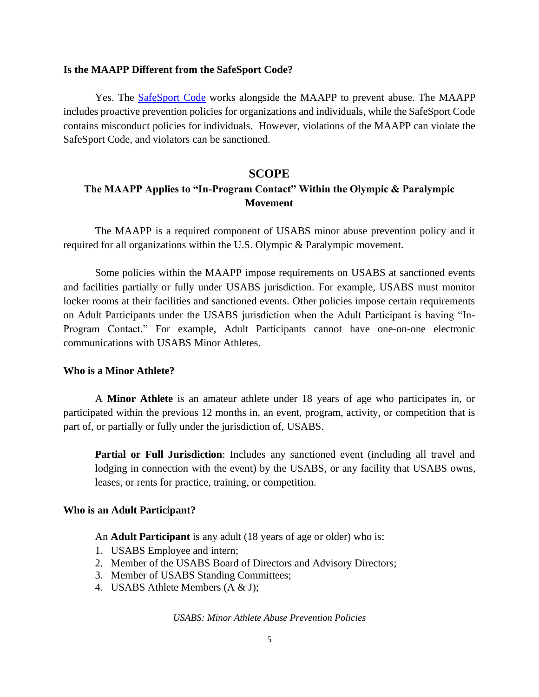#### **Is the MAAPP Different from the SafeSport Code?**

Yes. The [SafeSport Code](https://uscenterforsafesport.org/response-and-resolution/safesport-code/) works alongside the MAAPP to prevent abuse. The MAAPP includes proactive prevention policies for organizations and individuals, while the SafeSport Code contains misconduct policies for individuals. However, violations of the MAAPP can violate the SafeSport Code, and violators can be sanctioned.

#### **SCOPE**

### **The MAAPP Applies to "In-Program Contact" Within the Olympic & Paralympic Movement**

The MAAPP is a required component of USABS minor abuse prevention policy and it required for all organizations within the U.S. Olympic & Paralympic movement.

Some policies within the MAAPP impose requirements on USABS at sanctioned events and facilities partially or fully under USABS jurisdiction. For example, USABS must monitor locker rooms at their facilities and sanctioned events. Other policies impose certain requirements on Adult Participants under the USABS jurisdiction when the Adult Participant is having "In-Program Contact." For example, Adult Participants cannot have one-on-one electronic communications with USABS Minor Athletes.

#### **Who is a Minor Athlete?**

A **Minor Athlete** is an amateur athlete under 18 years of age who participates in, or participated within the previous 12 months in, an event, program, activity, or competition that is part of, or partially or fully under the jurisdiction of, USABS.

**Partial or Full Jurisdiction**: Includes any sanctioned event (including all travel and lodging in connection with the event) by the USABS, or any facility that USABS owns, leases, or rents for practice, training, or competition.

#### **Who is an Adult Participant?**

An **Adult Participant** is any adult (18 years of age or older) who is:

- 1. USABS Employee and intern;
- 2. Member of the USABS Board of Directors and Advisory Directors;
- 3. Member of USABS Standing Committees;
- 4. USABS Athlete Members (A & J);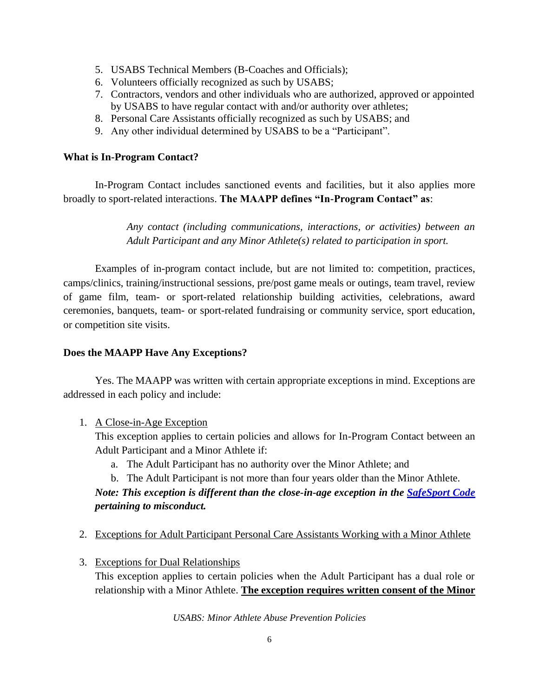- 5. USABS Technical Members (B-Coaches and Officials);
- 6. Volunteers officially recognized as such by USABS;
- 7. Contractors, vendors and other individuals who are authorized, approved or appointed by USABS to have regular contact with and/or authority over athletes;
- 8. Personal Care Assistants officially recognized as such by USABS; and
- 9. Any other individual determined by USABS to be a "Participant".

#### **What is In-Program Contact?**

In-Program Contact includes sanctioned events and facilities, but it also applies more broadly to sport-related interactions. **The MAAPP defines "In-Program Contact" as**:

> *Any contact (including communications, interactions, or activities) between an Adult Participant and any Minor Athlete(s) related to participation in sport.*

Examples of in-program contact include, but are not limited to: competition, practices, camps/clinics, training/instructional sessions, pre/post game meals or outings, team travel, review of game film, team- or sport-related relationship building activities, celebrations, award ceremonies, banquets, team- or sport-related fundraising or community service, sport education, or competition site visits.

#### **Does the MAAPP Have Any Exceptions?**

Yes. The MAAPP was written with certain appropriate exceptions in mind. Exceptions are addressed in each policy and include:

1. A Close-in-Age Exception

This exception applies to certain policies and allows for In-Program Contact between an Adult Participant and a Minor Athlete if:

- a. The Adult Participant has no authority over the Minor Athlete; and
- b. The Adult Participant is not more than four years older than the Minor Athlete.

## *Note: This exception is different than the close-in-age exception in the SafeSport Code pertaining to misconduct.*

- 2. Exceptions for Adult Participant Personal Care Assistants Working with a Minor Athlete
- 3. Exceptions for Dual Relationships

This exception applies to certain policies when the Adult Participant has a dual role or relationship with a Minor Athlete. **The exception requires written consent of the Minor**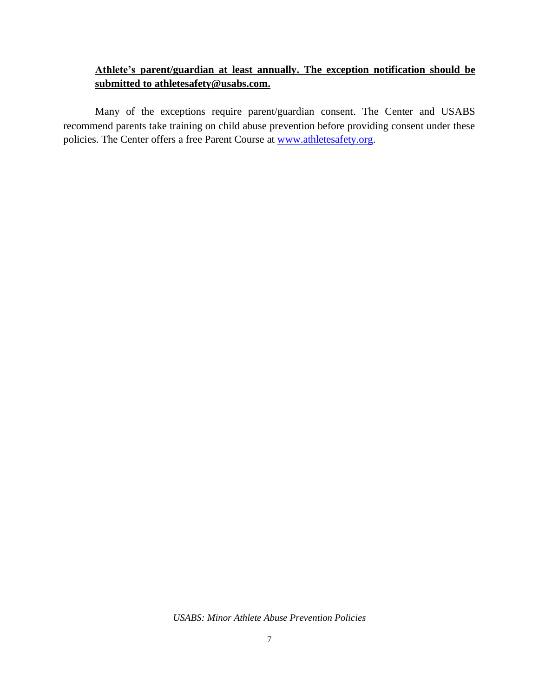## **Athlete's parent/guardian at least annually. The exception notification should be submitted to athletesafety@usabs.com.**

Many of the exceptions require parent/guardian consent. The Center and USABS recommend parents take training on child abuse prevention before providing consent under these policies. The Center offers a free Parent Course at [www.athletesafety.org.](http://www.athletesafety.org/)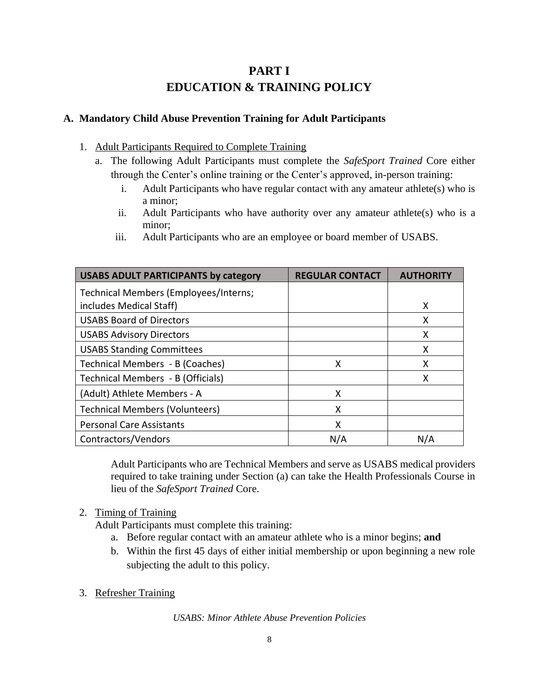# **PART I EDUCATION & TRAINING POLICY**

### **A. Mandatory Child Abuse Prevention Training for Adult Participants**

- 1. Adult Participants Required to Complete Training
	- a. The following Adult Participants must complete the *SafeSport Trained* Core either through the Center's online training or the Center's approved, in-person training:
		- i. Adult Participants who have regular contact with any amateur athlete(s) who is a minor;
		- ii. Adult Participants who have authority over any amateur athlete(s) who is a minor;
		- iii. Adult Participants who are an employee or board member of USABS.

| <b>USABS ADULT PARTICIPANTS by category</b> | <b>REGULAR CONTACT</b> | <b>AUTHORI</b> |
|---------------------------------------------|------------------------|----------------|
| Technical Members (Employees/Interns;       |                        |                |
| includes Medical Staff)                     |                        | x              |
| <b>USABS Board of Directors</b>             |                        | x              |
| <b>USABS Advisory Directors</b>             |                        | x              |
| <b>USABS Standing Committees</b>            |                        | x              |
| Technical Members - B (Coaches)             | x                      | x              |
| Technical Members - B (Officials)           |                        | x              |
| (Adult) Athlete Members - A                 | x                      |                |
| <b>Technical Members (Volunteers)</b>       | X                      |                |
| <b>Personal Care Assistants</b>             | x                      |                |
| Contractors/Vendors                         | N/A                    | N/A            |

Adult Participants who are Technical Members and serve as USABS medical providers required to take training under Section (a) can take the Health Professionals Course in lieu of the *SafeSport Trained* Core.

2. Timing of Training

Adult Participants must complete this training:

- a. Before regular contact with an amateur athlete who is a minor begins; **and**
- b. Within the first 45 days of either initial membership or upon beginning a new role subjecting the adult to this policy.
- 3. Refresher Training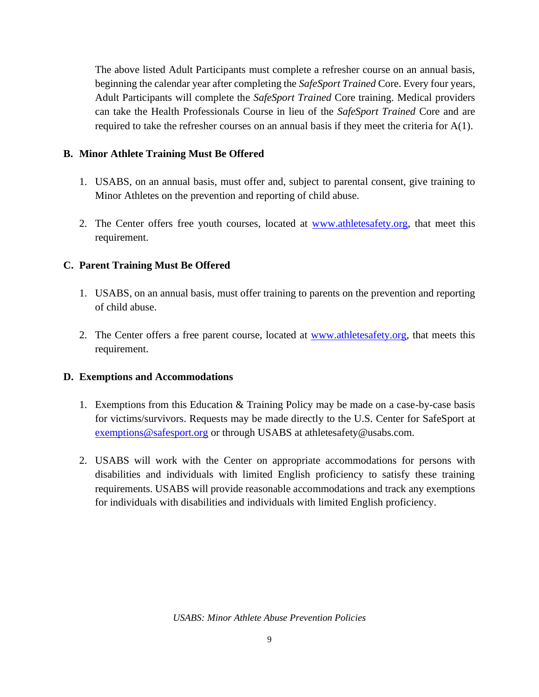The above listed Adult Participants must complete a refresher course on an annual basis, beginning the calendar year after completing the *SafeSport Trained* Core. Every four years, Adult Participants will complete the *SafeSport Trained* Core training. Medical providers can take the Health Professionals Course in lieu of the *SafeSport Trained* Core and are required to take the refresher courses on an annual basis if they meet the criteria for A(1).

### **B. Minor Athlete Training Must Be Offered**

- 1. USABS, on an annual basis, must offer and, subject to parental consent, give training to Minor Athletes on the prevention and reporting of child abuse.
- 2. The Center offers free youth courses, located at [www.athletesafety.org,](http://www.athletesafety.org/) that meet this requirement.

#### **C. Parent Training Must Be Offered**

- 1. USABS, on an annual basis, must offer training to parents on the prevention and reporting of child abuse.
- 2. The Center offers a free parent course, located at [www.athletesafety.org,](http://www.athletesafety.org/) that meets this requirement.

#### **D. Exemptions and Accommodations**

- 1. Exemptions from this Education & Training Policy may be made on a case-by-case basis for victims/survivors. Requests may be made directly to the U.S. Center for SafeSport at [exemptions@safesport.org](mailto:training@safesport.org) or through USABS at athletesafety@usabs.com.
- 2. USABS will work with the Center on appropriate accommodations for persons with disabilities and individuals with limited English proficiency to satisfy these training requirements. USABS will provide reasonable accommodations and track any exemptions for individuals with disabilities and individuals with limited English proficiency.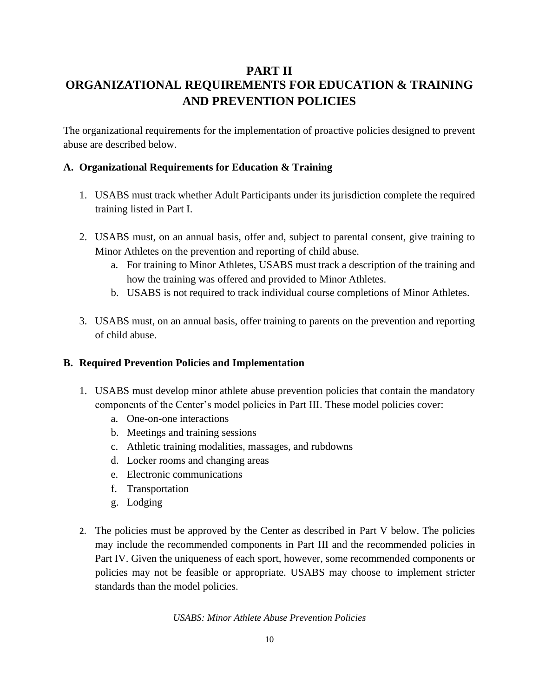# **PART II ORGANIZATIONAL REQUIREMENTS FOR EDUCATION & TRAINING AND PREVENTION POLICIES**

The organizational requirements for the implementation of proactive policies designed to prevent abuse are described below.

### **A. Organizational Requirements for Education & Training**

- 1. USABS must track whether Adult Participants under its jurisdiction complete the required training listed in Part I.
- 2. USABS must, on an annual basis, offer and, subject to parental consent, give training to Minor Athletes on the prevention and reporting of child abuse.
	- a. For training to Minor Athletes, USABS must track a description of the training and how the training was offered and provided to Minor Athletes.
	- b. USABS is not required to track individual course completions of Minor Athletes.
- 3. USABS must, on an annual basis, offer training to parents on the prevention and reporting of child abuse.

#### **B. Required Prevention Policies and Implementation**

- 1. USABS must develop minor athlete abuse prevention policies that contain the mandatory components of the Center's model policies in Part III. These model policies cover:
	- a. One-on-one interactions
	- b. Meetings and training sessions
	- c. Athletic training modalities, massages, and rubdowns
	- d. Locker rooms and changing areas
	- e. Electronic communications
	- f. Transportation
	- g. Lodging
- 2. The policies must be approved by the Center as described in Part V below. The policies may include the recommended components in Part III and the recommended policies in Part IV. Given the uniqueness of each sport, however, some recommended components or policies may not be feasible or appropriate. USABS may choose to implement stricter standards than the model policies.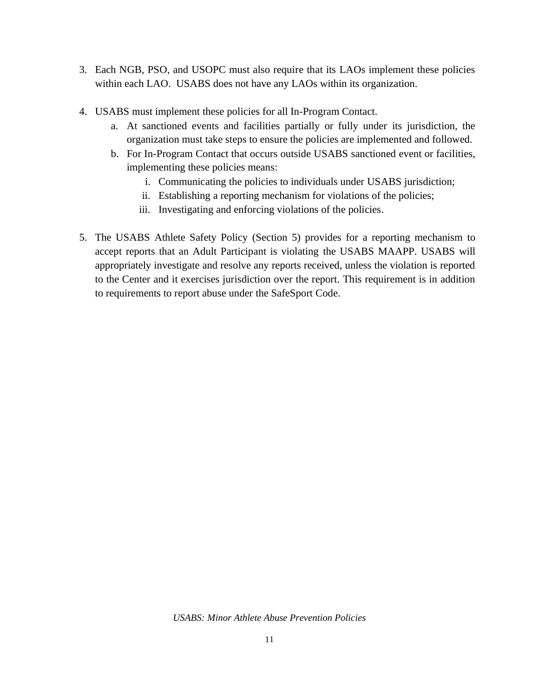- 3. Each NGB, PSO, and USOPC must also require that its LAOs implement these policies within each LAO. USABS does not have any LAOs within its organization.
- 4. USABS must implement these policies for all In-Program Contact.
	- a. At sanctioned events and facilities partially or fully under its jurisdiction, the organization must take steps to ensure the policies are implemented and followed.
	- b. For In-Program Contact that occurs outside USABS sanctioned event or facilities, implementing these policies means:
		- i. Communicating the policies to individuals under USABS jurisdiction;
		- ii. Establishing a reporting mechanism for violations of the policies;
		- iii. Investigating and enforcing violations of the policies.
- 5. The USABS Athlete Safety Policy (Section 5) provides for a reporting mechanism to accept reports that an Adult Participant is violating the USABS MAAPP. USABS will appropriately investigate and resolve any reports received, unless the violation is reported to the Center and it exercises jurisdiction over the report. This requirement is in addition to requirements to report abuse under the SafeSport Code.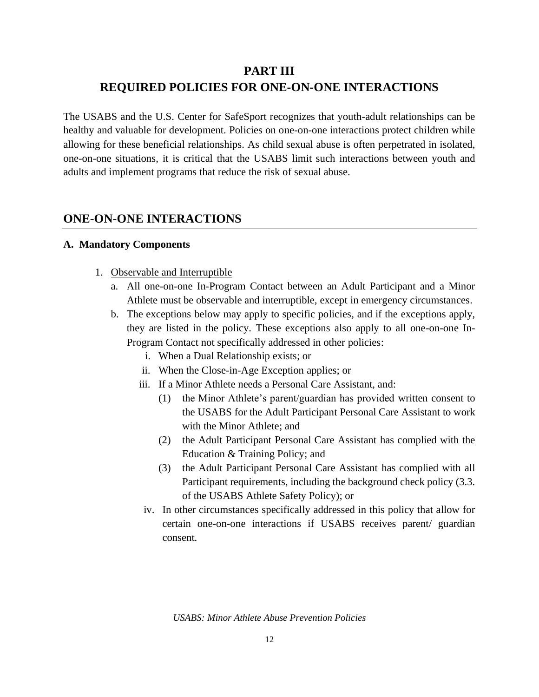# **PART III REQUIRED POLICIES FOR ONE-ON-ONE INTERACTIONS**

The USABS and the U.S. Center for SafeSport recognizes that youth-adult relationships can be healthy and valuable for development. Policies on one-on-one interactions protect children while allowing for these beneficial relationships. As child sexual abuse is often perpetrated in isolated, one-on-one situations, it is critical that the USABS limit such interactions between youth and adults and implement programs that reduce the risk of sexual abuse.

## **ONE-ON-ONE INTERACTIONS**

#### **A. Mandatory Components**

- 1. Observable and Interruptible
	- a. All one-on-one In-Program Contact between an Adult Participant and a Minor Athlete must be observable and interruptible, except in emergency circumstances.
	- b. The exceptions below may apply to specific policies, and if the exceptions apply, they are listed in the policy. These exceptions also apply to all one-on-one In-Program Contact not specifically addressed in other policies:
		- i. When a Dual Relationship exists; or
		- ii. When the Close-in-Age Exception applies; or
		- iii. If a Minor Athlete needs a Personal Care Assistant, and:
			- (1) the Minor Athlete's parent/guardian has provided written consent to the USABS for the Adult Participant Personal Care Assistant to work with the Minor Athlete; and
			- (2) the Adult Participant Personal Care Assistant has complied with the Education & Training Policy; and
			- (3) the Adult Participant Personal Care Assistant has complied with all Participant requirements, including the background check policy (3.3. of the USABS Athlete Safety Policy); or
		- iv. In other circumstances specifically addressed in this policy that allow for certain one-on-one interactions if USABS receives parent/ guardian consent.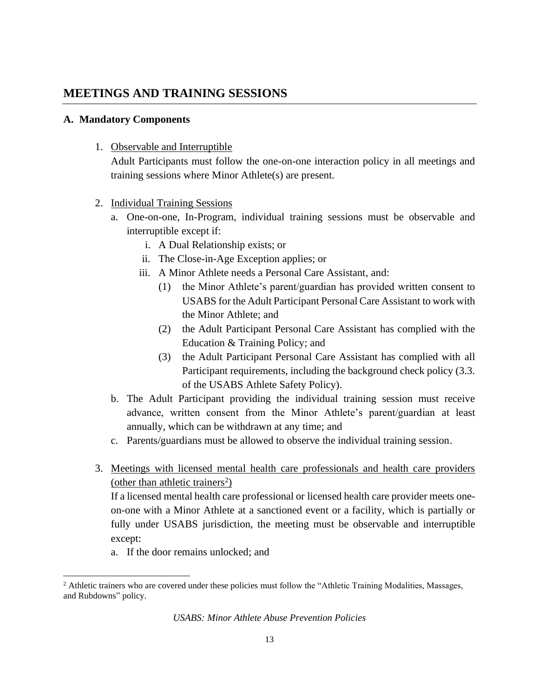## **MEETINGS AND TRAINING SESSIONS**

### **A. Mandatory Components**

1. Observable and Interruptible

Adult Participants must follow the one-on-one interaction policy in all meetings and training sessions where Minor Athlete(s) are present.

- 2. Individual Training Sessions
	- a. One-on-one, In-Program, individual training sessions must be observable and interruptible except if:
		- i. A Dual Relationship exists; or
		- ii. The Close-in-Age Exception applies; or
		- iii. A Minor Athlete needs a Personal Care Assistant, and:
			- (1) the Minor Athlete's parent/guardian has provided written consent to USABS for the Adult Participant Personal Care Assistant to work with the Minor Athlete; and
			- (2) the Adult Participant Personal Care Assistant has complied with the Education & Training Policy; and
			- (3) the Adult Participant Personal Care Assistant has complied with all Participant requirements, including the background check policy (3.3. of the USABS Athlete Safety Policy).
	- b. The Adult Participant providing the individual training session must receive advance, written consent from the Minor Athlete's parent/guardian at least annually, which can be withdrawn at any time; and
	- c. Parents/guardians must be allowed to observe the individual training session.
- 3. Meetings with licensed mental health care professionals and health care providers (other than athletic trainers<sup>2</sup>)

If a licensed mental health care professional or licensed health care provider meets oneon-one with a Minor Athlete at a sanctioned event or a facility, which is partially or fully under USABS jurisdiction, the meeting must be observable and interruptible except:

a. If the door remains unlocked; and

<sup>&</sup>lt;sup>2</sup> Athletic trainers who are covered under these policies must follow the "Athletic Training Modalities, Massages, and Rubdowns" policy.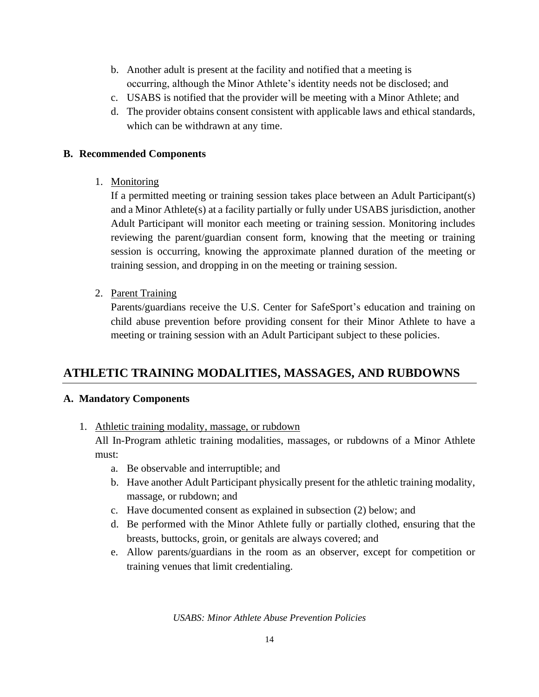- b. Another adult is present at the facility and notified that a meeting is occurring, although the Minor Athlete's identity needs not be disclosed; and
- c. USABS is notified that the provider will be meeting with a Minor Athlete; and
- d. The provider obtains consent consistent with applicable laws and ethical standards, which can be withdrawn at any time.

### **B. Recommended Components**

1. Monitoring

If a permitted meeting or training session takes place between an Adult Participant(s) and a Minor Athlete(s) at a facility partially or fully under USABS jurisdiction, another Adult Participant will monitor each meeting or training session. Monitoring includes reviewing the parent/guardian consent form, knowing that the meeting or training session is occurring, knowing the approximate planned duration of the meeting or training session, and dropping in on the meeting or training session.

2. Parent Training

Parents/guardians receive the U.S. Center for SafeSport's education and training on child abuse prevention before providing consent for their Minor Athlete to have a meeting or training session with an Adult Participant subject to these policies.

# **ATHLETIC TRAINING MODALITIES, MASSAGES, AND RUBDOWNS**

### **A. Mandatory Components**

1. Athletic training modality, massage, or rubdown

All In-Program athletic training modalities, massages, or rubdowns of a Minor Athlete must:

- a. Be observable and interruptible; and
- b. Have another Adult Participant physically present for the athletic training modality, massage, or rubdown; and
- c. Have documented consent as explained in subsection (2) below; and
- d. Be performed with the Minor Athlete fully or partially clothed, ensuring that the breasts, buttocks, groin, or genitals are always covered; and
- e. Allow parents/guardians in the room as an observer, except for competition or training venues that limit credentialing.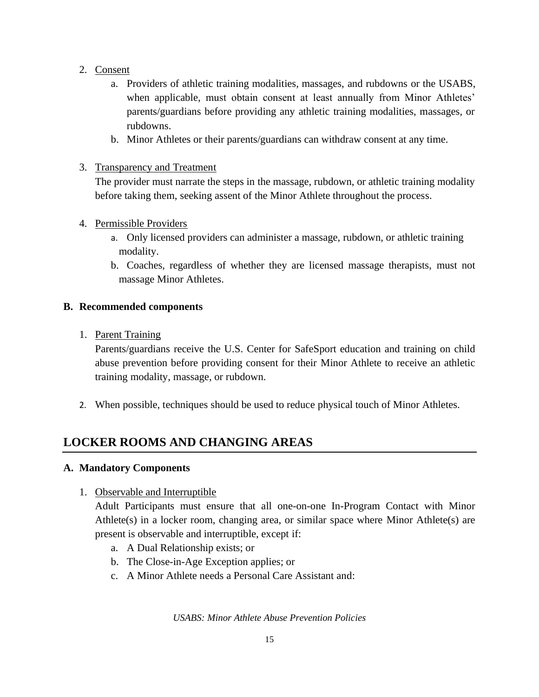- 2. Consent
	- a. Providers of athletic training modalities, massages, and rubdowns or the USABS, when applicable, must obtain consent at least annually from Minor Athletes' parents/guardians before providing any athletic training modalities, massages, or rubdowns.
	- b. Minor Athletes or their parents/guardians can withdraw consent at any time.
- 3. Transparency and Treatment

The provider must narrate the steps in the massage, rubdown, or athletic training modality before taking them, seeking assent of the Minor Athlete throughout the process.

- 4. Permissible Providers
	- a. Only licensed providers can administer a massage, rubdown, or athletic training modality.
	- b. Coaches, regardless of whether they are licensed massage therapists, must not massage Minor Athletes.

#### **B. Recommended components**

1. Parent Training

 Parents/guardians receive the U.S. Center for SafeSport education and training on child abuse prevention before providing consent for their Minor Athlete to receive an athletic training modality, massage, or rubdown.

2. When possible, techniques should be used to reduce physical touch of Minor Athletes.

# **LOCKER ROOMS AND CHANGING AREAS**

### **A. Mandatory Components**

1. Observable and Interruptible

Adult Participants must ensure that all one-on-one In-Program Contact with Minor Athlete(s) in a locker room, changing area, or similar space where Minor Athlete(s) are present is observable and interruptible, except if:

- a. A Dual Relationship exists; or
- b. The Close-in-Age Exception applies; or
- c. A Minor Athlete needs a Personal Care Assistant and: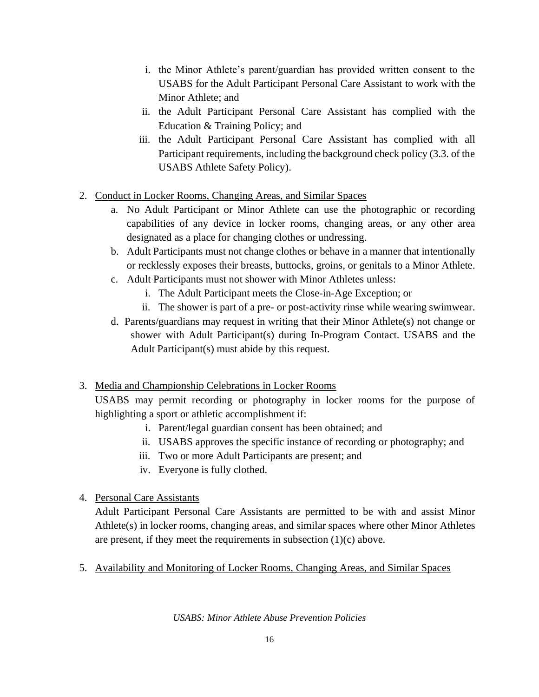- i. the Minor Athlete's parent/guardian has provided written consent to the USABS for the Adult Participant Personal Care Assistant to work with the Minor Athlete; and
- ii. the Adult Participant Personal Care Assistant has complied with the Education & Training Policy; and
- iii. the Adult Participant Personal Care Assistant has complied with all Participant requirements, including the background check policy (3.3. of the USABS Athlete Safety Policy).
- 2. Conduct in Locker Rooms, Changing Areas, and Similar Spaces
	- a. No Adult Participant or Minor Athlete can use the photographic or recording capabilities of any device in locker rooms, changing areas, or any other area designated as a place for changing clothes or undressing.
	- b. Adult Participants must not change clothes or behave in a manner that intentionally or recklessly exposes their breasts, buttocks, groins, or genitals to a Minor Athlete.
	- c. Adult Participants must not shower with Minor Athletes unless:
		- i. The Adult Participant meets the Close-in-Age Exception; or
		- ii. The shower is part of a pre- or post-activity rinse while wearing swimwear.
	- d. Parents/guardians may request in writing that their Minor Athlete(s) not change or shower with Adult Participant(s) during In-Program Contact. USABS and the Adult Participant(s) must abide by this request.

### 3. Media and Championship Celebrations in Locker Rooms

USABS may permit recording or photography in locker rooms for the purpose of highlighting a sport or athletic accomplishment if:

- i. Parent/legal guardian consent has been obtained; and
- ii. USABS approves the specific instance of recording or photography; and
- iii. Two or more Adult Participants are present; and
- iv. Everyone is fully clothed.

### 4. Personal Care Assistants

 Adult Participant Personal Care Assistants are permitted to be with and assist Minor Athlete(s) in locker rooms, changing areas, and similar spaces where other Minor Athletes are present, if they meet the requirements in subsection  $(1)(c)$  above.

5. Availability and Monitoring of Locker Rooms, Changing Areas, and Similar Spaces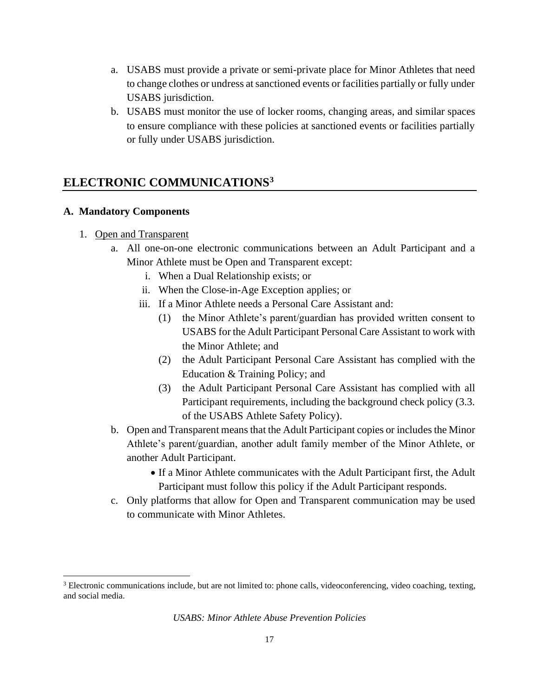- a. USABS must provide a private or semi-private place for Minor Athletes that need to change clothes or undress at sanctioned events or facilities partially or fully under USABS jurisdiction.
- b. USABS must monitor the use of locker rooms, changing areas, and similar spaces to ensure compliance with these policies at sanctioned events or facilities partially or fully under USABS jurisdiction.

## **ELECTRONIC COMMUNICATIONS<sup>3</sup>**

#### **A. Mandatory Components**

- 1. Open and Transparent
	- a. All one-on-one electronic communications between an Adult Participant and a Minor Athlete must be Open and Transparent except:
		- i. When a Dual Relationship exists; or
		- ii. When the Close-in-Age Exception applies; or
		- iii. If a Minor Athlete needs a Personal Care Assistant and:
			- (1) the Minor Athlete's parent/guardian has provided written consent to USABS for the Adult Participant Personal Care Assistant to work with the Minor Athlete; and
			- (2) the Adult Participant Personal Care Assistant has complied with the Education & Training Policy; and
			- (3) the Adult Participant Personal Care Assistant has complied with all Participant requirements, including the background check policy (3.3. of the USABS Athlete Safety Policy).
	- b. Open and Transparent means that the Adult Participant copies or includes the Minor Athlete's parent/guardian, another adult family member of the Minor Athlete, or another Adult Participant.
		- If a Minor Athlete communicates with the Adult Participant first, the Adult Participant must follow this policy if the Adult Participant responds.
	- c. Only platforms that allow for Open and Transparent communication may be used to communicate with Minor Athletes.

<sup>3</sup> Electronic communications include, but are not limited to: phone calls, videoconferencing, video coaching, texting, and social media.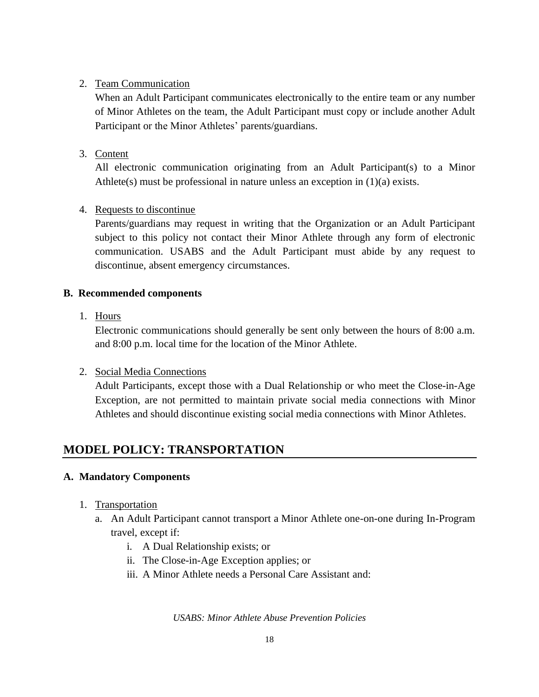### 2. Team Communication

 When an Adult Participant communicates electronically to the entire team or any number of Minor Athletes on the team, the Adult Participant must copy or include another Adult Participant or the Minor Athletes' parents/guardians.

### 3. Content

All electronic communication originating from an Adult Participant(s) to a Minor Athlete(s) must be professional in nature unless an exception in (1)(a) exists.

### 4. Requests to discontinue

 Parents/guardians may request in writing that the Organization or an Adult Participant subject to this policy not contact their Minor Athlete through any form of electronic communication. USABS and the Adult Participant must abide by any request to discontinue, absent emergency circumstances.

### **B. Recommended components**

1. Hours

Electronic communications should generally be sent only between the hours of 8:00 a.m. and 8:00 p.m. local time for the location of the Minor Athlete.

### 2. Social Media Connections

Adult Participants, except those with a Dual Relationship or who meet the Close-in-Age Exception, are not permitted to maintain private social media connections with Minor Athletes and should discontinue existing social media connections with Minor Athletes.

# **MODEL POLICY: TRANSPORTATION**

### **A. Mandatory Components**

- 1. Transportation
	- a. An Adult Participant cannot transport a Minor Athlete one-on-one during In-Program travel, except if:
		- i. A Dual Relationship exists; or
		- ii. The Close-in-Age Exception applies; or
		- iii. A Minor Athlete needs a Personal Care Assistant and: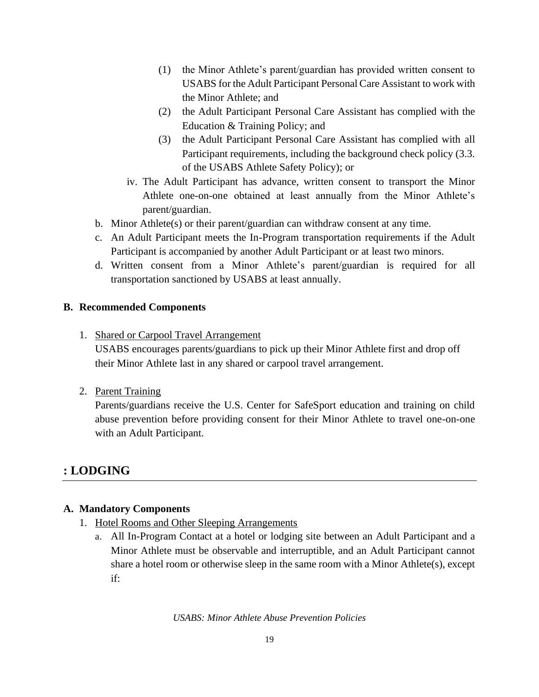- (1) the Minor Athlete's parent/guardian has provided written consent to USABS for the Adult Participant Personal Care Assistant to work with the Minor Athlete; and
- (2) the Adult Participant Personal Care Assistant has complied with the Education & Training Policy; and
- (3) the Adult Participant Personal Care Assistant has complied with all Participant requirements, including the background check policy (3.3. of the USABS Athlete Safety Policy); or
- iv. The Adult Participant has advance, written consent to transport the Minor Athlete one-on-one obtained at least annually from the Minor Athlete's parent/guardian.
- b. Minor Athlete(s) or their parent/guardian can withdraw consent at any time.
- c. An Adult Participant meets the In-Program transportation requirements if the Adult Participant is accompanied by another Adult Participant or at least two minors.
- d. Written consent from a Minor Athlete's parent/guardian is required for all transportation sanctioned by USABS at least annually.

### **B. Recommended Components**

1. Shared or Carpool Travel Arrangement

USABS encourages parents/guardians to pick up their Minor Athlete first and drop off their Minor Athlete last in any shared or carpool travel arrangement.

2. Parent Training

Parents/guardians receive the U.S. Center for SafeSport education and training on child abuse prevention before providing consent for their Minor Athlete to travel one-on-one with an Adult Participant.

# **: LODGING**

### **A. Mandatory Components**

- 1. Hotel Rooms and Other Sleeping Arrangements
	- a. All In-Program Contact at a hotel or lodging site between an Adult Participant and a Minor Athlete must be observable and interruptible, and an Adult Participant cannot share a hotel room or otherwise sleep in the same room with a Minor Athlete(s), except if: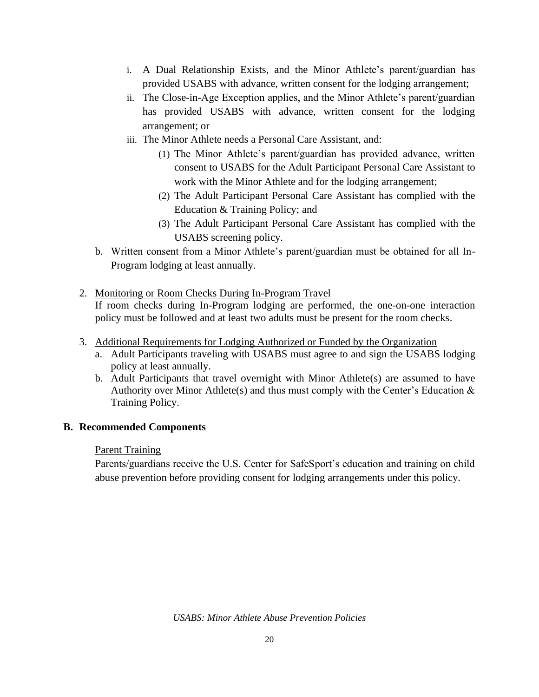- i. A Dual Relationship Exists, and the Minor Athlete's parent/guardian has provided USABS with advance, written consent for the lodging arrangement;
- ii. The Close-in-Age Exception applies, and the Minor Athlete's parent/guardian has provided USABS with advance, written consent for the lodging arrangement; or
- iii. The Minor Athlete needs a Personal Care Assistant, and:
	- (1) The Minor Athlete's parent/guardian has provided advance, written consent to USABS for the Adult Participant Personal Care Assistant to work with the Minor Athlete and for the lodging arrangement;
	- (2) The Adult Participant Personal Care Assistant has complied with the Education & Training Policy; and
	- (3) The Adult Participant Personal Care Assistant has complied with the USABS screening policy.
- b. Written consent from a Minor Athlete's parent/guardian must be obtained for all In-Program lodging at least annually.
- 2. Monitoring or Room Checks During In-Program Travel If room checks during In-Program lodging are performed, the one-on-one interaction policy must be followed and at least two adults must be present for the room checks.
- 3. Additional Requirements for Lodging Authorized or Funded by the Organization
	- a. Adult Participants traveling with USABS must agree to and sign the USABS lodging policy at least annually.
	- b. Adult Participants that travel overnight with Minor Athlete(s) are assumed to have Authority over Minor Athlete(s) and thus must comply with the Center's Education  $\&$ Training Policy.

#### **B. Recommended Components**

#### **Parent Training**

Parents/guardians receive the U.S. Center for SafeSport's education and training on child abuse prevention before providing consent for lodging arrangements under this policy.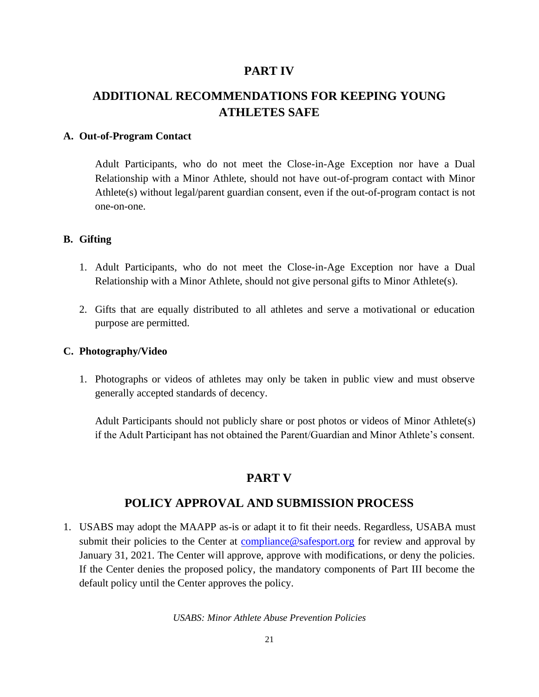### **PART IV**

# **ADDITIONAL RECOMMENDATIONS FOR KEEPING YOUNG ATHLETES SAFE**

#### **A. Out-of-Program Contact**

Adult Participants, who do not meet the Close-in-Age Exception nor have a Dual Relationship with a Minor Athlete, should not have out-of-program contact with Minor Athlete(s) without legal/parent guardian consent, even if the out-of-program contact is not one-on-one.

#### **B. Gifting**

- 1. Adult Participants, who do not meet the Close-in-Age Exception nor have a Dual Relationship with a Minor Athlete, should not give personal gifts to Minor Athlete(s).
- 2. Gifts that are equally distributed to all athletes and serve a motivational or education purpose are permitted.

#### **C. Photography/Video**

1. Photographs or videos of athletes may only be taken in public view and must observe generally accepted standards of decency.

Adult Participants should not publicly share or post photos or videos of Minor Athlete(s) if the Adult Participant has not obtained the Parent/Guardian and Minor Athlete's consent.

## **PART V**

### **POLICY APPROVAL AND SUBMISSION PROCESS**

1. USABS may adopt the MAAPP as-is or adapt it to fit their needs. Regardless, USABA must submit their policies to the Center at [compliance@safesport.org](mailto:compliance@safesport.org) for review and approval by January 31, 2021. The Center will approve, approve with modifications, or deny the policies. If the Center denies the proposed policy, the mandatory components of Part III become the default policy until the Center approves the policy.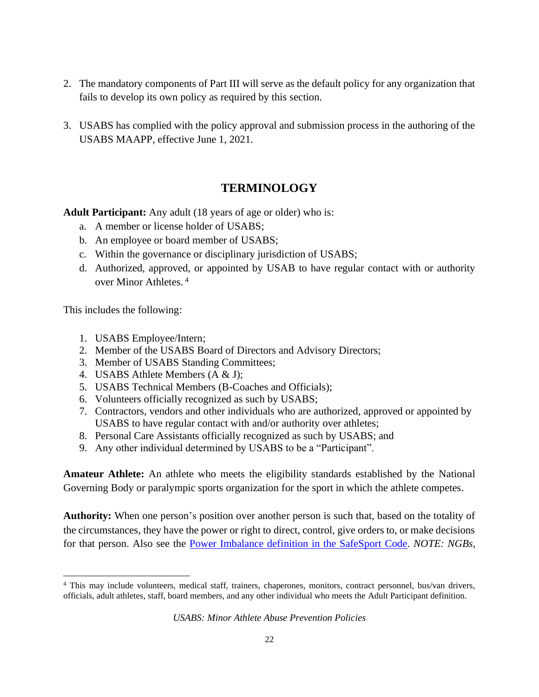- 2. The mandatory components of Part III will serve as the default policy for any organization that fails to develop its own policy as required by this section.
- 3. USABS has complied with the policy approval and submission process in the authoring of the USABS MAAPP, effective June 1, 2021.

# **TERMINOLOGY**

**Adult Participant:** Any adult (18 years of age or older) who is:

- a. A member or license holder of USABS;
- b. An employee or board member of USABS;
- c. Within the governance or disciplinary jurisdiction of USABS;
- d. Authorized, approved, or appointed by USAB to have regular contact with or authority over Minor Athletes. <sup>4</sup>

This includes the following:

- 1. USABS Employee/Intern;
- 2. Member of the USABS Board of Directors and Advisory Directors;
- 3. Member of USABS Standing Committees;
- 4. USABS Athlete Members (A & J);
- 5. USABS Technical Members (B-Coaches and Officials);
- 6. Volunteers officially recognized as such by USABS;
- 7. Contractors, vendors and other individuals who are authorized, approved or appointed by USABS to have regular contact with and/or authority over athletes;
- 8. Personal Care Assistants officially recognized as such by USABS; and
- 9. Any other individual determined by USABS to be a "Participant".

**Amateur Athlete:** An athlete who meets the eligibility standards established by the National Governing Body or paralympic sports organization for the sport in which the athlete competes.

**Authority:** When one person's position over another person is such that, based on the totality of the circumstances, they have the power or right to direct, control, give orders to, or make decisions for that person. Also see the [Power Imbalance definition in the SafeSport Code.](https://uscenterforsafesport.org/response-and-resolution/safesport-code/) *NOTE: NGBs,* 

<sup>&</sup>lt;sup>4</sup> This may include volunteers, medical staff, trainers, chaperones, monitors, contract personnel, bus/van drivers, officials, adult athletes, staff, board members, and any other individual who meets the Adult Participant definition.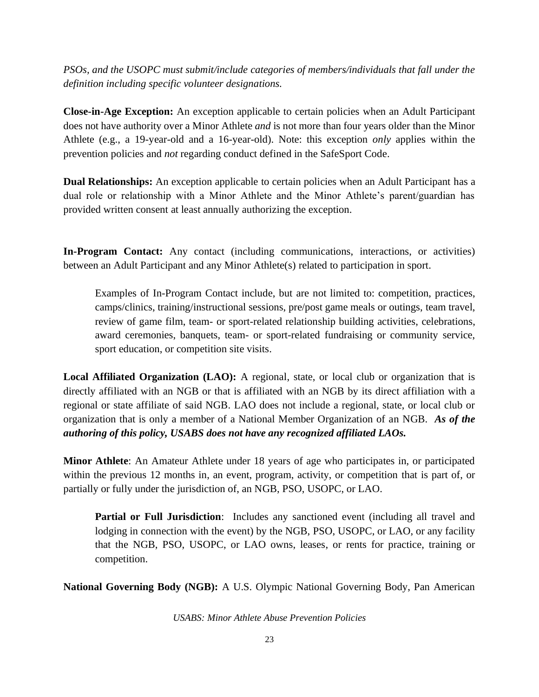*PSOs, and the USOPC must submit/include categories of members/individuals that fall under the definition including specific volunteer designations.*

**Close-in-Age Exception:** An exception applicable to certain policies when an Adult Participant does not have authority over a Minor Athlete *and* is not more than four years older than the Minor Athlete (e.g., a 19-year-old and a 16-year-old). Note: this exception *only* applies within the prevention policies and *not* regarding conduct defined in the SafeSport Code.

**Dual Relationships:** An exception applicable to certain policies when an Adult Participant has a dual role or relationship with a Minor Athlete and the Minor Athlete's parent/guardian has provided written consent at least annually authorizing the exception.

**In-Program Contact:** Any contact (including communications, interactions, or activities) between an Adult Participant and any Minor Athlete(s) related to participation in sport.

Examples of In-Program Contact include, but are not limited to: competition, practices, camps/clinics, training/instructional sessions, pre/post game meals or outings, team travel, review of game film, team- or sport-related relationship building activities, celebrations, award ceremonies, banquets, team- or sport-related fundraising or community service, sport education, or competition site visits.

**Local Affiliated Organization (LAO):** A regional, state, or local club or organization that is directly affiliated with an NGB or that is affiliated with an NGB by its direct affiliation with a regional or state affiliate of said NGB. LAO does not include a regional, state, or local club or organization that is only a member of a National Member Organization of an NGB. *As of the authoring of this policy, USABS does not have any recognized affiliated LAOs.*

**Minor Athlete**: An Amateur Athlete under 18 years of age who participates in, or participated within the previous 12 months in, an event, program, activity, or competition that is part of, or partially or fully under the jurisdiction of, an NGB, PSO, USOPC, or LAO.

**Partial or Full Jurisdiction**: Includes any sanctioned event (including all travel and lodging in connection with the event) by the NGB, PSO, USOPC, or LAO, or any facility that the NGB, PSO, USOPC, or LAO owns, leases, or rents for practice, training or competition.

**National Governing Body (NGB):** A U.S. Olympic National Governing Body, Pan American